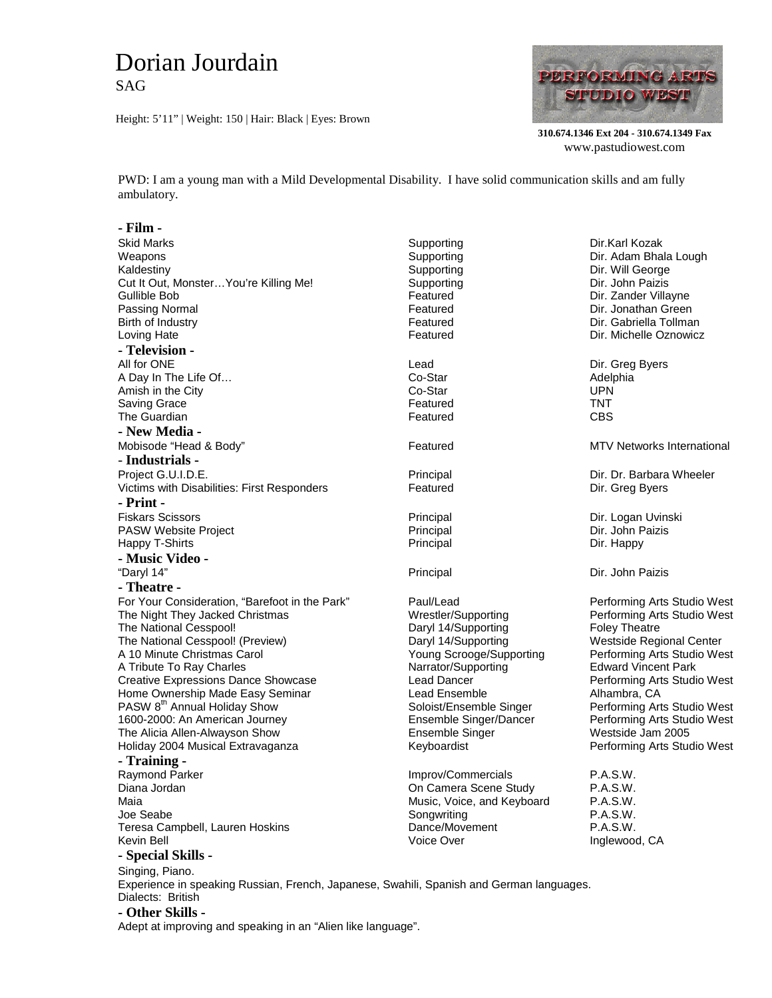## Dorian Jourdain SAG

Height: 5'11" | Weight: 150 | Hair: Black | Eyes: Brown



**310.674.1346 Ext 204 - 310.674.1349 Fax** www.pastudiowest.com

PWD: I am a young man with a Mild Developmental Disability. I have solid communication skills and am fully ambulatory.

## **- Film -**

| <b>Skid Marks</b>                                                                        | Supporting                                | Dir.Karl Kozak                              |
|------------------------------------------------------------------------------------------|-------------------------------------------|---------------------------------------------|
| Weapons                                                                                  | Supporting                                | Dir. Adam Bhala Lough                       |
| Kaldestiny                                                                               | Supporting                                | Dir. Will George                            |
| Cut It Out, Monster You're Killing Me!                                                   | Supporting                                | Dir. John Paizis                            |
| Gullible Bob                                                                             | Featured                                  | Dir. Zander Villayne                        |
| Passing Normal                                                                           | Featured                                  | Dir. Jonathan Green                         |
| Birth of Industry                                                                        | Featured                                  | Dir. Gabriella Tollman                      |
| Loving Hate                                                                              | Featured                                  | Dir. Michelle Oznowicz                      |
| - Television -                                                                           |                                           |                                             |
| All for ONE                                                                              | Lead                                      | Dir. Greg Byers                             |
| A Day In The Life Of                                                                     | Co-Star                                   | Adelphia                                    |
| Amish in the City                                                                        | Co-Star                                   | <b>UPN</b>                                  |
| Saving Grace                                                                             | Featured                                  | <b>TNT</b>                                  |
| The Guardian                                                                             | Featured                                  | <b>CBS</b>                                  |
| - New Media -                                                                            |                                           |                                             |
| Mobisode "Head & Body"                                                                   | Featured                                  | MTV Networks International                  |
| - Industrials -                                                                          |                                           |                                             |
| Project G.U.I.D.E.                                                                       | Principal                                 | Dir. Dr. Barbara Wheeler                    |
| Victims with Disabilities: First Responders                                              | Featured                                  | Dir. Greg Byers                             |
| - Print -                                                                                |                                           |                                             |
| <b>Fiskars Scissors</b>                                                                  | Principal                                 | Dir. Logan Uvinski                          |
| PASW Website Project                                                                     | Principal                                 | Dir. John Paizis                            |
| Happy T-Shirts                                                                           | Principal                                 | Dir. Happy                                  |
| - Music Video -                                                                          |                                           |                                             |
| "Daryl 14"                                                                               | Principal                                 | Dir. John Paizis                            |
| - Theatre -                                                                              |                                           |                                             |
|                                                                                          |                                           |                                             |
| For Your Consideration, "Barefoot in the Park"                                           | Paul/Lead                                 | Performing Arts Studio West                 |
| The Night They Jacked Christmas                                                          | Wrestler/Supporting                       | Performing Arts Studio West                 |
| The National Cesspool!                                                                   | Daryl 14/Supporting                       | <b>Foley Theatre</b>                        |
| The National Cesspool! (Preview)                                                         | Daryl 14/Supporting                       | Westside Regional Center                    |
| A 10 Minute Christmas Carol                                                              | Young Scrooge/Supporting                  | Performing Arts Studio West                 |
| A Tribute To Ray Charles                                                                 | Narrator/Supporting<br><b>Lead Dancer</b> | <b>Edward Vincent Park</b>                  |
| <b>Creative Expressions Dance Showcase</b><br>Home Ownership Made Easy Seminar           |                                           | Performing Arts Studio West                 |
| PASW 8 <sup>th</sup> Annual Holiday Show                                                 | Lead Ensemble<br>Soloist/Ensemble Singer  | Alhambra, CA<br>Performing Arts Studio West |
| 1600-2000: An American Journey                                                           | Ensemble Singer/Dancer                    | Performing Arts Studio West                 |
| The Alicia Allen-Alwayson Show                                                           | Ensemble Singer                           | Westside Jam 2005                           |
| Holiday 2004 Musical Extravaganza                                                        | Keyboardist                               | Performing Arts Studio West                 |
|                                                                                          |                                           |                                             |
| - Training -                                                                             |                                           |                                             |
| Raymond Parker                                                                           | Improv/Commercials                        | P.A.S.W.                                    |
| Diana Jordan                                                                             | On Camera Scene Study                     | P.A.S.W.                                    |
| Maia                                                                                     | Music, Voice, and Keyboard                | P.A.S.W.                                    |
| Joe Seabe                                                                                | Songwriting                               | P.A.S.W.                                    |
| Teresa Campbell, Lauren Hoskins                                                          | Dance/Movement<br>Voice Over              | P.A.S.W.                                    |
| Kevin Bell                                                                               |                                           | Inglewood, CA                               |
| - Special Skills -                                                                       |                                           |                                             |
| Singing, Piano.                                                                          |                                           |                                             |
| Experience in speaking Russian, French, Japanese, Swahili, Spanish and German languages. |                                           |                                             |
| Dialects: British                                                                        |                                           |                                             |

**- Other Skills -**

Adept at improving and speaking in an "Alien like language".